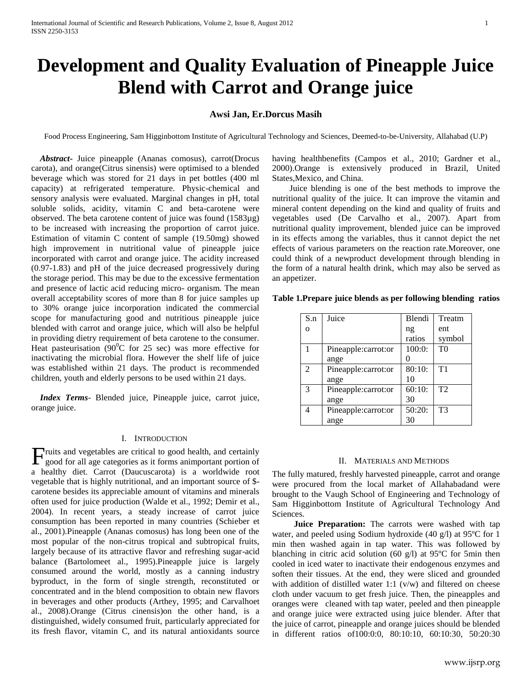# **Development and Quality Evaluation of Pineapple Juice Blend with Carrot and Orange juice**

# **Awsi Jan, Er.Dorcus Masih**

Food Process Engineering, Sam Higginbottom Institute of Agricultural Technology and Sciences, Deemed-to-be-University, Allahabad (U.P)

 *Abstract***-** Juice pineapple (Ananas comosus), carrot(Drocus carota), and orange(Citrus sinensis) were optimised to a blended beverage which was stored for 21 days in pet bottles (400 ml capacity) at refrigerated temperature. Physic-chemical and sensory analysis were evaluated. Marginal changes in pH, total soluble solids, acidity, vitamin C and beta-carotene were observed. The beta carotene content of juice was found (1583µg) to be increased with increasing the proportion of carrot juice. Estimation of vitamin C content of sample (19.50mg) showed high improvement in nutritional value of pineapple juice incorporated with carrot and orange juice. The acidity increased (0.97-1.83) and pH of the juice decreased progressively during the storage period. This may be due to the excessive fermentation and presence of lactic acid reducing micro- organism. The mean overall acceptability scores of more than 8 for juice samples up to 30% orange juice incorporation indicated the commercial scope for manufacturing good and nutritious pineapple juice blended with carrot and orange juice, which will also be helpful in providing dietry requirement of beta carotene to the consumer. Heat pasteurisation (90 $^{\circ}$ C for 25 sec) was more effective for inactivating the microbial flora. However the shelf life of juice was established within 21 days. The product is recommended children, youth and elderly persons to be used within 21 days.

 *Index Terms*- Blended juice, Pineapple juice, carrot juice, orange juice.

# I. INTRODUCTION

 $\Gamma$  ruits and vegetables are critical to good health, and certainly good for all age categories as it forms animportant portion of good for all age categories as it forms animportant portion of a healthy diet. Carrot (Daucuscarota) is a worldwide root vegetable that is highly nutritional, and an important source of \$ carotene besides its appreciable amount of vitamins and minerals often used for juice production (Walde et al., 1992; Demir et al., 2004). In recent years, a steady increase of carrot juice consumption has been reported in many countries (Schieber et al., 2001).Pineapple (Ananas comosus) has long been one of the most popular of the non-citrus tropical and subtropical fruits, largely because of its attractive flavor and refreshing sugar-acid balance (Bartolomeet al., 1995).Pineapple juice is largely consumed around the world, mostly as a canning industry byproduct, in the form of single strength, reconstituted or concentrated and in the blend composition to obtain new flavors in beverages and other products (Arthey, 1995; and Carvalhoet al., 2008).Orange (Citrus cinensis)on the other hand, is a distinguished, widely consumed fruit, particularly appreciated for its fresh flavor, vitamin C, and its natural antioxidants source having healthbenefits (Campos et al., 2010; Gardner et al., 2000).Orange is extensively produced in Brazil, United States,Mexico, and China.

 Juice blending is one of the best methods to improve the nutritional quality of the juice. It can improve the vitamin and mineral content depending on the kind and quality of fruits and vegetables used (De Carvalho et al., 2007). Apart from nutritional quality improvement, blended juice can be improved in its effects among the variables, thus it cannot depict the net effects of various parameters on the reaction rate.Moreover, one could think of a newproduct development through blending in the form of a natural health drink, which may also be served as an appetizer.

|  |  | Table 1. Prepare juice blends as per following blending ratios |  |  |
|--|--|----------------------------------------------------------------|--|--|
|--|--|----------------------------------------------------------------|--|--|

| S.n | Juice               | Blendi | Treatm         |
|-----|---------------------|--------|----------------|
| O   |                     | ng     | ent            |
|     |                     | ratios | symbol         |
|     | Pineapple:carrot:or | 100:0: | T <sub>0</sub> |
|     | ange                |        |                |
| 2   | Pineapple:carrot:or | 80:10: | T1             |
|     | ange                | 10     |                |
| 3   | Pineapple:carrot:or | 60:10: | T2             |
|     | ange                | 30     |                |
|     | Pineapple:carrot:or | 50:20: | T3             |
|     | ange                | 30     |                |

# II. MATERIALS AND METHODS

The fully matured, freshly harvested pineapple, carrot and orange were procured from the local market of Allahabadand were brought to the Vaugh School of Engineering and Technology of Sam Higginbottom Institute of Agricultural Technology And Sciences.

 **Juice Preparation:** The carrots were washed with tap water, and peeled using Sodium hydroxide (40 g/l) at 95ºC for 1 min then washed again in tap water. This was followed by blanching in citric acid solution (60 g/l) at 95ºC for 5min then cooled in iced water to inactivate their endogenous enzymes and soften their tissues. At the end, they were sliced and grounded with addition of distilled water 1:1  $(v/w)$  and filtered on cheese cloth under vacuum to get fresh juice. Then, the pineapples and oranges were cleaned with tap water, peeled and then pineapple and orange juice were extracted using juice blender. After that the juice of carrot, pineapple and orange juices should be blended in different ratios of100:0:0, 80:10:10, 60:10:30, 50:20:30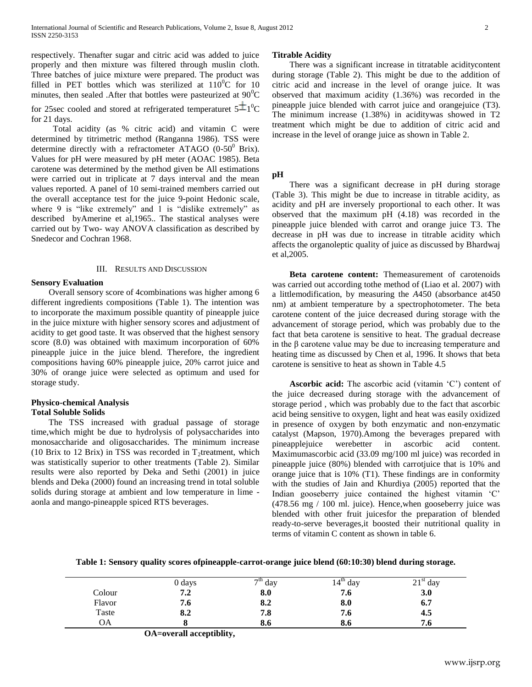respectively. Thenafter sugar and citric acid was added to juice properly and then mixture was filtered through muslin cloth. Three batches of juice mixture were prepared. The product was filled in PET bottles which was sterilized at  $110^0C$  for 10 minutes, then sealed . After that bottles were pasteurized at  $90^0C$ 

for 25sec cooled and stored at refrigerated temperaturet  $5\pm 1$ <sup>0</sup>C for 21 days.

 Total acidity (as % citric acid) and vitamin C were determined by titrimetric method (Ranganna 1986). TSS were determine directly with a refractometer ATAGO  $(0-50^0)$  Brix). Values for pH were measured by pH meter (AOAC 1985). Beta carotene was determined by the method given be All estimations were carried out in triplicate at 7 days interval and the mean values reported. A panel of 10 semi-trained members carried out the overall acceptance test for the juice 9-point Hedonic scale, where 9 is "like extremely" and 1 is "dislike extremely" as described byAmerine et al,1965.. The stastical analyses were carried out by Two- way ANOVA classification as described by Snedecor and Cochran 1968.

# III. RESULTS AND DISCUSSION

# **Sensory Evaluation**

 Overall sensory score of 4combinations was higher among 6 different ingredients compositions (Table 1). The intention was to incorporate the maximum possible quantity of pineapple juice in the juice mixture with higher sensory scores and adjustment of acidity to get good taste. It was observed that the highest sensory score (8.0) was obtained with maximum incorporation of 60% pineapple juice in the juice blend. Therefore, the ingredient compositions having 60% pineapple juice, 20% carrot juice and 30% of orange juice were selected as optimum and used for storage study.

#### **Physico-chemical Analysis Total Soluble Solids**

 The TSS increased with gradual passage of storage time,which might be due to hydrolysis of polysaccharides into monosaccharide and oligosaccharides. The minimum increase (10 Brix to 12 Brix) in TSS was recorded in  $T_2$ treatment, which was statistically superior to other treatments (Table 2). Similar results were also reported by Deka and Sethi (2001) in juice blends and Deka (2000) found an increasing trend in total soluble solids during storage at ambient and low temperature in lime aonla and mango-pineapple spiced RTS beverages.

#### **Titrable Acidity**

 There was a significant increase in titratable aciditycontent during storage (Table 2). This might be due to the addition of citric acid and increase in the level of orange juice. It was observed that maximum acidity (1.36%) was recorded in the pineapple juice blended with carrot juice and orangejuice (T3). The minimum increase (1.38%) in aciditywas showed in T2 treatment which might be due to addition of citric acid and increase in the level of orange juice as shown in Table 2.

#### **pH**

 There was a significant decrease in pH during storage (Table 3). This might be due to increase in titrable acidity, as acidity and pH are inversely proportional to each other. It was observed that the maximum pH (4.18) was recorded in the pineapple juice blended with carrot and orange juice T3. The decrease in pH was due to increase in titrable acidity which affects the organoleptic quality of juice as discussed by Bhardwaj et al,2005.

 **Beta carotene content:** Themeasurement of carotenoids was carried out according tothe method of (Liao et al. 2007) with a littlemodification, by measuring the *A*450 (absorbance at450 nm) at ambient temperature by a spectrophotometer. The beta carotene content of the juice decreased during storage with the advancement of storage period, which was probably due to the fact that beta carotene is sensitive to heat. The gradual decrease in the β carotene value may be due to increasing temperature and heating time as discussed by Chen et al, 1996. It shows that beta carotene is sensitive to heat as shown in Table 4.5

**Ascorbic acid:** The ascorbic acid (vitamin 'C') content of the juice decreased during storage with the advancement of storage period , which was probably due to the fact that ascorbic acid being sensitive to oxygen, light and heat was easily oxidized in presence of oxygen by both enzymatic and non-enzymatic catalyst (Mapson, 1970).Among the beverages prepared with pineapplejuice werebetter in ascorbic acid content. Maximumascorbic acid (33.09 mg/100 ml juice) was recorded in pineapple juice (80%) blended with carrotjuice that is 10% and orange juice that is 10% (T1). These findings are in conformity with the studies of Jain and Khurdiya (2005) reported that the Indian gooseberry juice contained the highest vitamin 'C' (478.56 mg / 100 ml. juice). Hence,when gooseberry juice was blended with other fruit juicesfor the preparation of blended ready-to-serve beverages,it boosted their nutritional quality in terms of vitamin C content as shown in table 6.

**Table 1: Sensory quality scores ofpineapple-carrot-orange juice blend (60:10:30) blend during storage.**

|        | 0 days | $7th$ day | $14^{\text{th}}$<br>day | $21st$ day |
|--------|--------|-----------|-------------------------|------------|
| Colour | 7.2    | 8.0       | 7.0                     | 3.0        |
| Flavor | 7.6    | 8.2       | 8.0                     | 6.7        |
| Taste  | 8.2    | 7.8       | 7.6                     | 4.5        |
| OΑ     |        | 8.0       | 8.0                     | −<br>7.0   |

 **OA=overall acceptiblity,**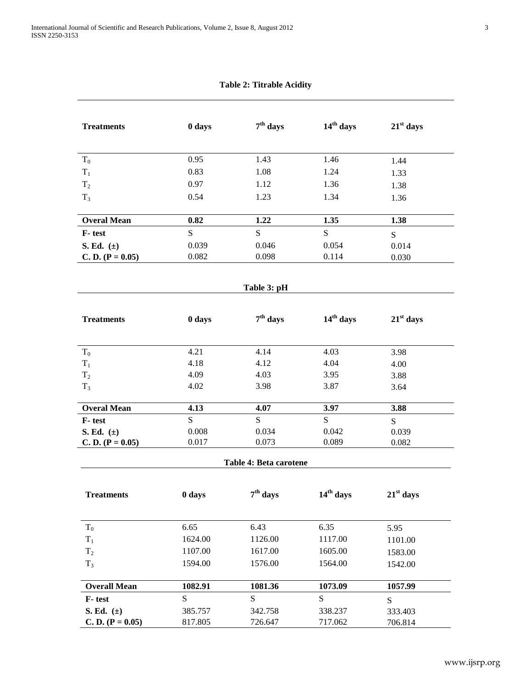| <b>Treatments</b>   | 0 days  | $7th$ days             | $14th$ days | $21st$ days |
|---------------------|---------|------------------------|-------------|-------------|
|                     |         |                        |             |             |
| $T_0$               | 0.95    | 1.43                   | 1.46        | 1.44        |
| $T_1$               | 0.83    | 1.08                   | 1.24        | 1.33        |
| T <sub>2</sub>      | 0.97    | 1.12                   | 1.36        | 1.38        |
| $T_3$               | 0.54    | 1.23                   | 1.34        | 1.36        |
| <b>Overal Mean</b>  | 0.82    | 1.22                   | 1.35        | 1.38        |
| F-test              | S       | S                      | S           | S           |
| S. Ed. $(\pm)$      | 0.039   | 0.046                  | 0.054       | 0.014       |
| $C. D. (P = 0.05)$  | 0.082   | 0.098                  | 0.114       | 0.030       |
|                     |         |                        |             |             |
|                     |         | Table 3: pH            |             |             |
|                     |         |                        |             |             |
| <b>Treatments</b>   | 0 days  | $7th$ days             | $14th$ days | $21st$ days |
| $T_0$               | 4.21    | 4.14                   | 4.03        | 3.98        |
| $\rm T_1$           | 4.18    | 4.12                   | 4.04        | 4.00        |
| T <sub>2</sub>      | 4.09    | 4.03                   | 3.95        | 3.88        |
| $T_3$               | 4.02    | 3.98                   | 3.87        | 3.64        |
| <b>Overal Mean</b>  | 4.13    | 4.07                   | 3.97        | 3.88        |
| F-test              | S.      | S                      | S           | S           |
| S. Ed. $(\pm)$      | 0.008   | 0.034                  | 0.042       | 0.039       |
| C. D. $(P = 0.05)$  | 0.017   | 0.073                  | 0.089       | 0.082       |
|                     |         | Table 4: Beta carotene |             |             |
| <b>Treatments</b>   | 0 days  | $7th$ days             | $14th$ days | $21st$ days |
|                     |         |                        |             |             |
| $T_0$               | 6.65    | 6.43                   | 6.35        | 5.95        |
| $\rm T_1$           | 1624.00 | 1126.00                | 1117.00     | 1101.00     |
| $T_2$               | 1107.00 | 1617.00                | 1605.00     | 1583.00     |
| $T_3$               | 1594.00 | 1576.00                | 1564.00     | 1542.00     |
| <b>Overall Mean</b> | 1082.91 | 1081.36                | 1073.09     | 1057.99     |
| F-test              | S       | ${\bf S}$              | S           | S           |
| S. Ed. $(\pm)$      | 385.757 | 342.758                | 338.237     | 333.403     |
| $C. D. (P = 0.05)$  | 817.805 | 726.647                | 717.062     | 706.814     |

**Table 2: Titrable Acidity**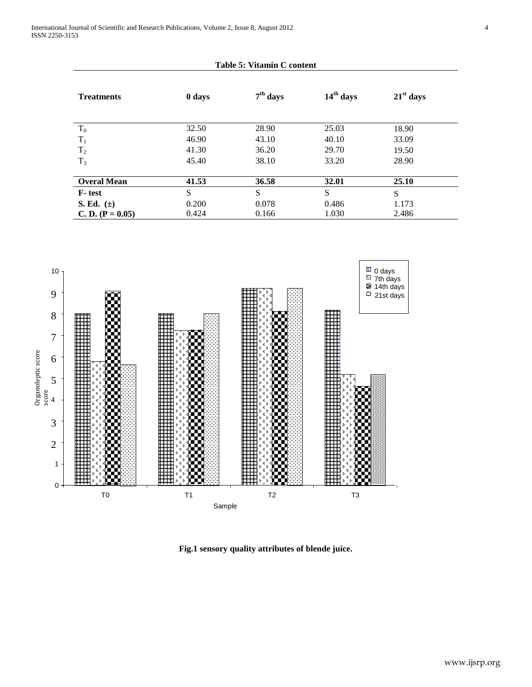| Table 5: Vitamin C content |        |            |             |             |  |
|----------------------------|--------|------------|-------------|-------------|--|
| <b>Treatments</b>          | 0 days | $7th$ days | $14th$ days | $21st$ days |  |
| $T_0$                      | 32.50  | 28.90      | 25.03       | 18.90       |  |
| $T_1$                      | 46.90  | 43.10      | 40.10       | 33.09       |  |
| T <sub>2</sub>             | 41.30  | 36.20      | 29.70       | 19.50       |  |
| $T_3$                      | 45.40  | 38.10      | 33.20       | 28.90       |  |
|                            |        |            |             |             |  |
| <b>Overal Mean</b>         | 41.53  | 36.58      | 32.01       | 25.10       |  |
| F-test                     | S      | S          | S           | S           |  |
| S. Ed. $(\pm)$             | 0.200  | 0.078      | 0.486       | 1.173       |  |
| C. D. $(P = 0.05)$         | 0.424  | 0.166      | 1.030       | 2.486       |  |



**Fig.1 sensory quality attributes of blende juice.**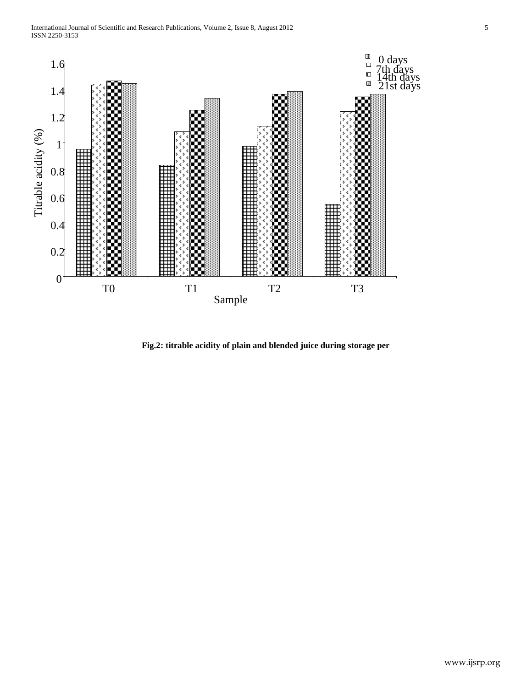

**Fig.2: titrable acidity of plain and blended juice during storage per**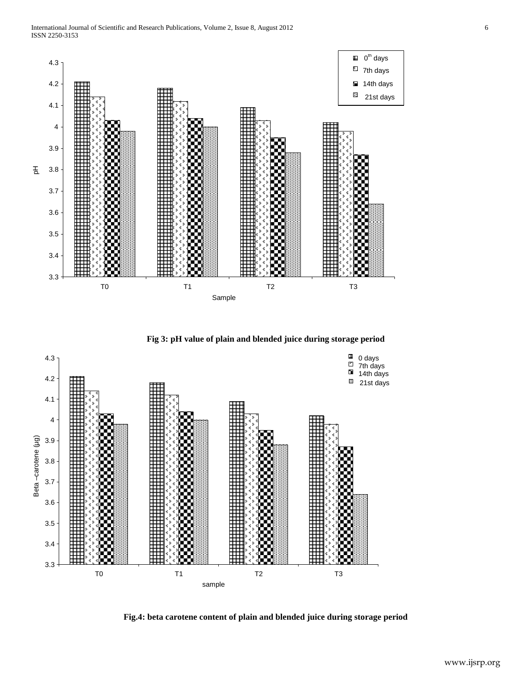

**Fig 3: pH value of plain and blended juice during storage period**



**Fig.4: beta carotene content of plain and blended juice during storage period**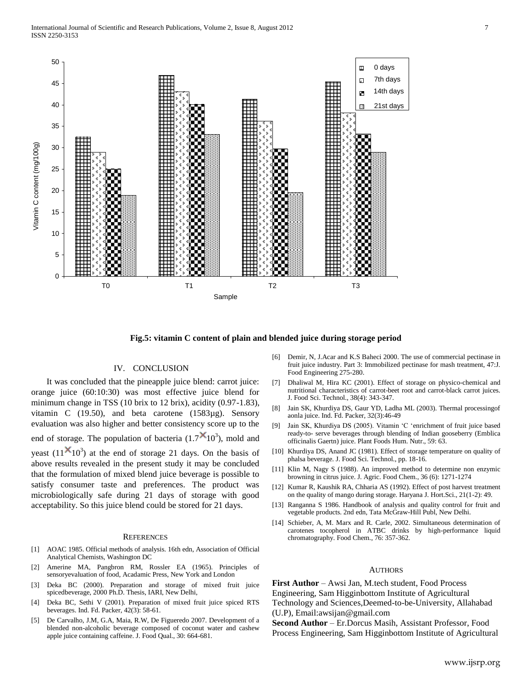

**Fig.5: vitamin C content of plain and blended juice during storage period**

#### IV. CONCLUSION

 It was concluded that the pineapple juice blend: carrot juice: orange juice (60:10:30) was most effective juice blend for minimum change in TSS (10 brix to 12 brix), acidity (0.97-1.83), vitamin C (19.50), and beta carotene (1583µg). Sensory evaluation was also higher and better consistency score up to the end of storage. The population of bacteria  $(1.7 \times 10^3)$ , mold and yeast  $(11^{\mathbf{X}}10^3)$  at the end of storage 21 days. On the basis of above results revealed in the present study it may be concluded that the formulation of mixed blend juice beverage is possible to satisfy consumer taste and preferences. The product was microbiologically safe during 21 days of storage with good acceptability. So this juice blend could be stored for 21 days.

#### **REFERENCES**

- [1] AOAC 1985. Official methods of analysis. 16th edn, Association of Official Analytical Chemists, Washington DC
- [2] Amerine MA, Pangbron RM, Rossler EA (1965). Principles of sensoryevaluation of food, Acadamic Press, New York and London
- [3] Deka BC (2000). Preparation and storage of mixed fruit juice spicedbeverage, 2000 Ph.D. Thesis, IARI, New Delhi,
- [4] Deka BC, Sethi V (2001). Preparation of mixed fruit juice spiced RTS beverages. Ind. Fd. Packer, 42(3): 58-61.
- [5] De Carvalho, J.M, G.A, Maia, R.W, De Figueredo 2007. Development of a blended non-alcoholic beverage composed of coconut water and cashew apple juice containing caffeine. J. Food Qual., 30: 664-681.
- [6] Demir, N, J.Acar and K.S Baheci 2000. The use of commercial pectinase in fruit juice industry. Part 3: Immobilized pectinase for mash treatment, 47:J. Food Engineering 275-280.
- [7] Dhaliwal M, Hira KC (2001). Effect of storage on physico-chemical and nutritional characteristics of carrot-beet root and carrot-black carrot juices. J. Food Sci. Technol., 38(4): 343-347.
- [8] Jain SK, Khurdiya DS, Gaur YD, Ladha ML (2003). Thermal processingof aonla juice. Ind. Fd. Packer, 32(3):46-49
- [9] Jain SK, Khurdiya DS (2005). Vitamin "C "enrichment of fruit juice based ready-to- serve beverages through blending of Indian gooseberry (Emblica officinalis Gaertn) juice. Plant Foods Hum. Nutr., 59: 63.
- [10] Khurdiya DS, Anand JC (1981). Effect of storage temperature on quality of phalsa beverage. J. Food Sci. Technol., pp. 18-16.
- [11] Klin M, Nagy S (1988). An improved method to determine non enzymic browning in citrus juice. J. Agric. Food Chem., 36 (6): 1271-1274
- [12] Kumar R, Kaushik RA, Chharia AS (1992). Effect of post harvest treatment on the quality of mango during storage. Haryana J. Hort.Sci., 21(1-2): 49.
- [13] Ranganna S 1986. Handbook of analysis and quality control for fruit and vegetable products. 2nd edn, Tata McGraw-Hill Publ, New Delhi.
- [14] Schieber, A, M. Marx and R. Carle, 2002. Simultaneous determination of carotenes tocopherol in ATBC drinks by high-performance liquid chromatography. Food Chem., 76: 357-362.

#### **AUTHORS**

**First Author** – Awsi Jan, M.tech student, Food Process Engineering, Sam Higginbottom Institute of Agricultural Technology and Sciences,Deemed-to-be-University, Allahabad (U.P), Email:awsijan@gmail.com

**Second Author** – Er.Dorcus Masih, Assistant Professor, Food Process Engineering, Sam Higginbottom Institute of Agricultural